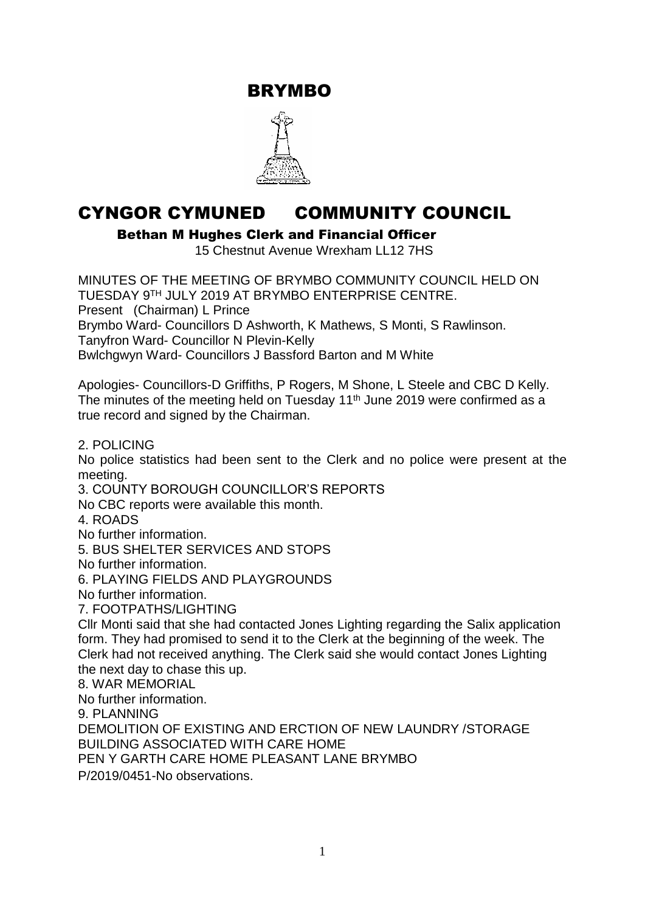BRYMBO



## CYNGOR CYMUNED COMMUNITY COUNCIL

Bethan M Hughes Clerk and Financial Officer

15 Chestnut Avenue Wrexham LL12 7HS

MINUTES OF THE MEETING OF BRYMBO COMMUNITY COUNCIL HELD ON TUESDAY 9 TH JULY 2019 AT BRYMBO ENTERPRISE CENTRE. Present (Chairman) L Prince Brymbo Ward- Councillors D Ashworth, K Mathews, S Monti, S Rawlinson. Tanyfron Ward- Councillor N Plevin-Kelly Bwlchgwyn Ward- Councillors J Bassford Barton and M White

Apologies- Councillors-D Griffiths, P Rogers, M Shone, L Steele and CBC D Kelly. The minutes of the meeting held on Tuesday 11<sup>th</sup> June 2019 were confirmed as a true record and signed by the Chairman.

2. POLICING

No police statistics had been sent to the Clerk and no police were present at the meeting.

3. COUNTY BOROUGH COUNCILLOR'S REPORTS

No CBC reports were available this month.

4. ROADS

No further information.

5. BUS SHELTER SERVICES AND STOPS

No further information.

6. PLAYING FIELDS AND PLAYGROUNDS

No further information.

7. FOOTPATHS/LIGHTING

Cllr Monti said that she had contacted Jones Lighting regarding the Salix application form. They had promised to send it to the Clerk at the beginning of the week. The Clerk had not received anything. The Clerk said she would contact Jones Lighting the next day to chase this up.

8. WAR MEMORIAL

No further information.

9. PLANNING

DEMOLITION OF EXISTING AND ERCTION OF NEW LAUNDRY /STORAGE BUILDING ASSOCIATED WITH CARE HOME

PEN Y GARTH CARE HOME PLEASANT LANE BRYMBO

P/2019/0451-No observations.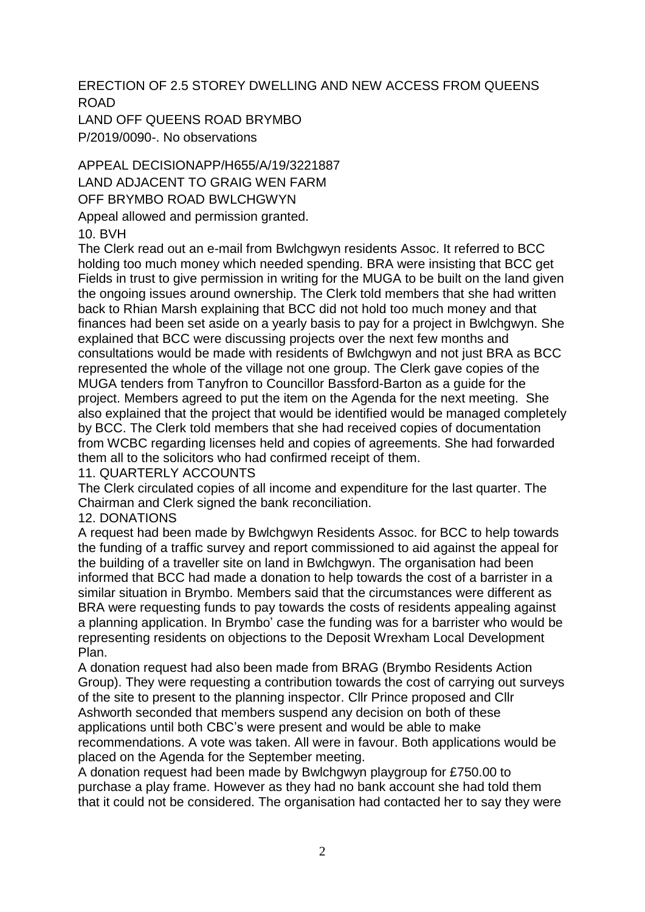ERECTION OF 2.5 STOREY DWELLING AND NEW ACCESS FROM QUEENS ROAD

LAND OFF QUEENS ROAD BRYMBO P/2019/0090-. No observations

APPEAL DECISIONAPP/H655/A/19/3221887 LAND ADJACENT TO GRAIG WEN FARM OFF BRYMBO ROAD BWLCHGWYN Appeal allowed and permission granted.

10. BVH

The Clerk read out an e-mail from Bwlchgwyn residents Assoc. It referred to BCC holding too much money which needed spending. BRA were insisting that BCC get Fields in trust to give permission in writing for the MUGA to be built on the land given the ongoing issues around ownership. The Clerk told members that she had written back to Rhian Marsh explaining that BCC did not hold too much money and that finances had been set aside on a yearly basis to pay for a project in Bwlchgwyn. She explained that BCC were discussing projects over the next few months and consultations would be made with residents of Bwlchgwyn and not just BRA as BCC represented the whole of the village not one group. The Clerk gave copies of the MUGA tenders from Tanyfron to Councillor Bassford-Barton as a guide for the project. Members agreed to put the item on the Agenda for the next meeting. She also explained that the project that would be identified would be managed completely by BCC. The Clerk told members that she had received copies of documentation from WCBC regarding licenses held and copies of agreements. She had forwarded them all to the solicitors who had confirmed receipt of them.

## 11. QUARTERLY ACCOUNTS

The Clerk circulated copies of all income and expenditure for the last quarter. The Chairman and Clerk signed the bank reconciliation.

## 12. DONATIONS

A request had been made by Bwlchgwyn Residents Assoc. for BCC to help towards the funding of a traffic survey and report commissioned to aid against the appeal for the building of a traveller site on land in Bwlchgwyn. The organisation had been informed that BCC had made a donation to help towards the cost of a barrister in a similar situation in Brymbo. Members said that the circumstances were different as BRA were requesting funds to pay towards the costs of residents appealing against a planning application. In Brymbo' case the funding was for a barrister who would be representing residents on objections to the Deposit Wrexham Local Development Plan.

A donation request had also been made from BRAG (Brymbo Residents Action Group). They were requesting a contribution towards the cost of carrying out surveys of the site to present to the planning inspector. Cllr Prince proposed and Cllr Ashworth seconded that members suspend any decision on both of these applications until both CBC's were present and would be able to make recommendations. A vote was taken. All were in favour. Both applications would be placed on the Agenda for the September meeting.

A donation request had been made by Bwlchgwyn playgroup for £750.00 to purchase a play frame. However as they had no bank account she had told them that it could not be considered. The organisation had contacted her to say they were